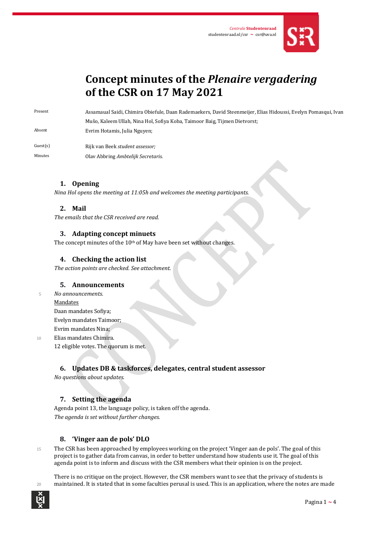

# **Concept minutes of the** *Plenaire vergadering* **of the CSR on 17 May 2021**

Present Assamaual Saidi, Chimira Obiefule, Daan Rademaekers, David Steenmeijer, Elias Hidoussi, Evelyn Pomasqui, Ivan Mušo, Kaleem Ullah, Nina Hol, Sofiya Koba, Taimoor Baig, Tijmen Dietvorst; Absent Evrim Hotamis, Julia Nguyen;

Guest(s) Rijk van Beek *student assessor;* Minutes Olav Abbring *Ambtelijk Secretaris*.

# **1. Opening**

*Nina Hol opens the meeting at 11:05h and welcomes the meeting participants.* 

# **2. Mail**

*The emails that the CSR received are read.*

#### **3. Adapting concept minuets**

The concept minutes of the 10<sup>th</sup> of May have been set without changes.

#### **4. Checking the action list**

*The action points are checked. See attachment.*

#### **5. Announcements**

<sup>5</sup> *No announcements.*

#### Mandates

Daan mandates Sofiya; Evelyn mandates Taimoor; Evrim mandates Nina;

10 Elias mandates Chimira.

12 eligible votes. The quorum is met.

# **6. Updates DB & taskforces, delegates, central student assessor**

*No questions about updates.*

#### **7. Setting the agenda**

Agenda point 13, the language policy, is taken off the agenda. *The agenda is set without further changes.*

# **8. 'Vinger aan de pols' DLO**

15 The CSR has been approached by employees working on the project 'Vinger aan de pols'. The goal of this project is to gather data from canvas, in order to better understand how students use it. The goal of this agenda point is to inform and discuss with the CSR members what their opinion is on the project.

There is no critique on the project. However, the CSR members want to see that the privacy of students is 20 maintained. It is stated that in some faculties perusal is used. This is an application, where the notes are made

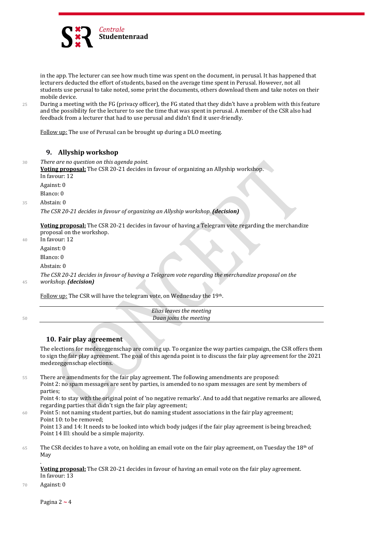

in the app. The lecturer can see how much time was spent on the document, in perusal. It has happened that lecturers deducted the effort of students, based on the average time spent in Perusal. However, not all students use perusal to take noted, some print the documents, others download them and take notes on their mobile device.

25 During a meeting with the FG (privacy officer), the FG stated that they didn't have a problem with this feature and the possibility for the lecturer to see the time that was spent in perusal. A member of the CSR also had feedback from a lecturer that had to use perusal and didn't find it user-friendly.

Follow up: The use of Perusal can be brought up during a DLO meeting.

#### **9. Allyship workshop**

<sup>30</sup> *There are no question on this agenda point.* **Voting proposal:** The CSR 20-21 decides in favour of organizing an Allyship workshop. In favour: 12 Against: 0 Blanco: 0 35 Abstain: 0 *The CSR 20-21 decides in favour of organizing an Allyship workshop. (decision)*

**Voting proposal:** The CSR 20-21 decides in favour of having a Telegram vote regarding the merchandize proposal on the workshop.

40 In favour: 12 Against: 0 Blanco: 0

Abstain: 0

*The CSR 20-21 decides in favour of having a Telegram vote regarding the merchandize proposal on the* 

<sup>45</sup> *workshop. (decision)*

Follow up: The CSR will have the telegram vote, on Wednesday the 19th.

*Elias leaves the meeting* <sup>50</sup> *Daan joins the meeting*

#### **10. Fair play agreement**

The elections for medezeggenschap are coming up. To organize the way parties campaign, the CSR offers them to sign the fair play agreement. The goal of this agenda point is to discuss the fair play agreement for the 2021 medezeggenschap elections.

55 There are amendments for the fair play agreement. The following amendments are proposed: Point 2: no spam messages are sent by parties, is amended to no spam messages are sent by members of parties; Point 4: to stay with the original point of 'no negative remarks'. And to add that negative remarks are allowed,

regarding parties that didn't sign the fair play agreement;

60 Point 5: not naming student parties, but do naming student associations in the fair play agreement; Point 10: to be removed;

Point 13 and 14: It needs to be looked into which body judges if the fair play agreement is being breached; Point 14 III: should be a simple majority.

 $65$  The CSR decides to have a vote, on holding an email vote on the fair play agreement, on Tuesday the 18<sup>th</sup> of May

. **Voting proposal:** The CSR 20-21 decides in favour of having an email vote on the fair play agreement. In favour: 13

70 Against: 0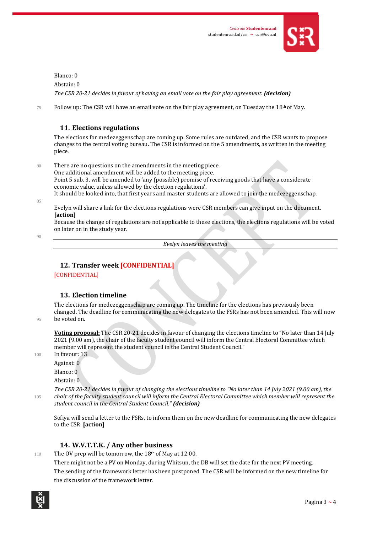

Blanco: 0 Abstain: 0 *The CSR 20-21 decides in favour of having an email vote on the fair play agreement. (decision)*

 $75$  Follow up: The CSR will have an email vote on the fair play agreement, on Tuesday the 18<sup>th</sup> of May.

#### **11. Elections regulations**

The elections for medezeggenschap are coming up. Some rules are outdated, and the CSR wants to propose changes to the central voting bureau. The CSR is informed on the 5 amendments, as written in the meeting piece.

80 There are no questions on the amendments in the meeting piece. One additional amendment will be added to the meeting piece. Point 5 sub. 3. will be amended to 'any (possible) promise of receiving goods that have a considerate economic value, unless allowed by the election regulations'. It should be looked into, that first years and master students are allowed to join the medezeggenschap.

 $95$ 

Evelyn will share a link for the elections regulations were CSR members can give input on the document. **[action]**

Because the change of regulations are not applicable to these elections, the elections regulations will be voted on later on in the study year.

 $90$ 

*Evelyn leaves the meeting*

# **12. Transfer week [CONFIDENTIAL]**

**[CONFIDENTIAL]** 

# **13. Election timeline**

The elections for medezeggenschap are coming up. The timeline for the elections has previously been changed. The deadline for communicating the new delegates to the FSRs has not been amended. This will now 95 be voted on.

**Voting proposal:** The CSR 20-21 decides in favour of changing the elections timeline to "No later than 14 July 2021 (9.00 am), the chair of the faculty student council will inform the Central Electoral Committee which member will represent the student council in the Central Student Council."

100 In favour: 13 Against: 0 Blanco: 0

Abstain: 0

*The CSR 20-21 decides in favour of changing the elections timeline to "No later than 14 July 2021 (9.00 am), the*  <sup>105</sup> *chair of the faculty student council will inform the Central Electoral Committee which member will represent the student council in the Central Student Council." (decision)*

Sofiya will send a letter to the FSRs, to inform them on the new deadline for communicating the new delegates to the CSR. **[action]**

# **14. W.V.T.T.K. / Any other business**

110 The OV prep will be tomorrow, the  $18<sup>th</sup>$  of May at 12:00.

There might not be a PV on Monday, during Whitsun, the DB will set the date for the next PV meeting. The sending of the framework letter has been postponed. The CSR will be informed on the new timeline for the discussion of the framework letter.